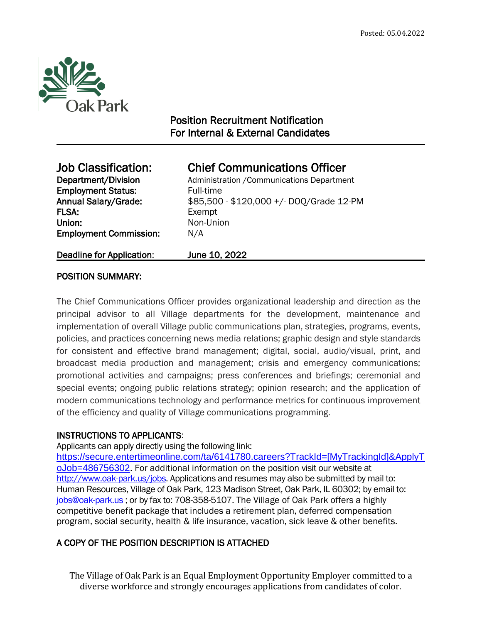

 $\overline{a}$ 

# Position Recruitment Notification For Internal & External Candidates

| <b>Job Classification:</b>       | <b>Chief Communications Officer</b>        |
|----------------------------------|--------------------------------------------|
| Department/Division              | Administration / Communications Department |
| <b>Employment Status:</b>        | Full-time                                  |
| <b>Annual Salary/Grade:</b>      | \$85,500 - \$120,000 +/- DOQ/Grade 12-PM   |
| <b>FLSA:</b>                     | Exempt                                     |
| Union:                           | Non-Union                                  |
| <b>Employment Commission:</b>    | N/A                                        |
| <b>Deadline for Application:</b> | June 10, 2022                              |

# POSITION SUMMARY:

The Chief Communications Officer provides organizational leadership and direction as the principal advisor to all Village departments for the development, maintenance and implementation of overall Village public communications plan, strategies, programs, events, policies, and practices concerning news media relations; graphic design and style standards for consistent and effective brand management; digital, social, audio/visual, print, and broadcast media production and management; crisis and emergency communications; promotional activities and campaigns; press conferences and briefings; ceremonial and special events; ongoing public relations strategy; opinion research; and the application of modern communications technology and performance metrics for continuous improvement of the efficiency and quality of Village communications programming.

# INSTRUCTIONS TO APPLICANTS:

Applicants can apply directly using the following link:

[https://secure.entertimeonline.com/ta/6141780.careers?TrackId=\[MyTrackingId\]&ApplyT](https://secure.entertimeonline.com/ta/6141780.careers?TrackId=%5bMyTrackingId%5d&ApplyToJob=486756302) [oJob=486756302](https://secure.entertimeonline.com/ta/6141780.careers?TrackId=%5bMyTrackingId%5d&ApplyToJob=486756302). For additional information on the position visit our website at [http://www.oak-park.us/j](http://www.oak-park.us/)obs. Applications and resumes may also be submitted by mail to: Human Resources, Village of Oak Park, 123 Madison Street, Oak Park, IL 60302; by email to: [jobs@oak-park.us](mailto:jobs@oak-park.us) ; or by fax to: 708-358-5107. The Village of Oak Park offers a highly competitive benefit package that includes a retirement plan, deferred compensation program, social security, health & life insurance, vacation, sick leave & other benefits.

# A COPY OF THE POSITION DESCRIPTION IS ATTACHED

The Village of Oak Park is an Equal Employment Opportunity Employer committed to a diverse workforce and strongly encourages applications from candidates of color.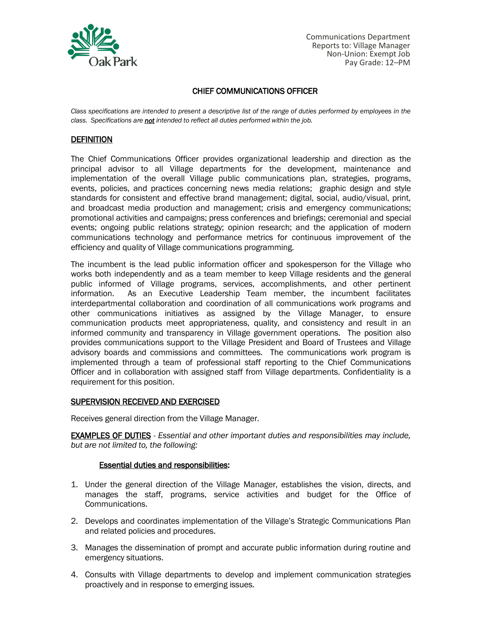

Communications Department Reports to: Village Manager Non-Union: Exempt Job Pay Grade: 12–PM

# CHIEF COMMUNICATIONS OFFICER

*Class specifications are intended to present a descriptive list of the range of duties performed by employees in the class. Specifications are not intended to reflect all duties performed within the job.*

### **DEFINITION**

The Chief Communications Officer provides organizational leadership and direction as the principal advisor to all Village departments for the development, maintenance and implementation of the overall Village public communications plan, strategies, programs, events, policies, and practices concerning news media relations; graphic design and style standards for consistent and effective brand management; digital, social, audio/visual, print, and broadcast media production and management; crisis and emergency communications; promotional activities and campaigns; press conferences and briefings; ceremonial and special events; ongoing public relations strategy; opinion research; and the application of modern communications technology and performance metrics for continuous improvement of the efficiency and quality of Village communications programming.

The incumbent is the lead public information officer and spokesperson for the Village who works both independently and as a team member to keep Village residents and the general public informed of Village programs, services, accomplishments, and other pertinent information. As an Executive Leadership Team member, the incumbent facilitates interdepartmental collaboration and coordination of all communications work programs and other communications initiatives as assigned by the Village Manager, to ensure communication products meet appropriateness, quality, and consistency and result in an informed community and transparency in Village government operations. The position also provides communications support to the Village President and Board of Trustees and Village advisory boards and commissions and committees. The communications work program is implemented through a team of professional staff reporting to the Chief Communications Officer and in collaboration with assigned staff from Village departments. Confidentiality is a requirement for this position.

#### SUPERVISION RECEIVED AND EXERCISED

Receives general direction from the Village Manager.

EXAMPLES OF DUTIES - *Essential and other important duties and responsibilities may include, but are not limited to, the following:*

#### Essential duties and responsibilities:

- 1. Under the general direction of the Village Manager, establishes the vision, directs, and manages the staff, programs, service activities and budget for the Office of Communications.
- 2. Develops and coordinates implementation of the Village's Strategic Communications Plan and related policies and procedures.
- 3. Manages the dissemination of prompt and accurate public information during routine and emergency situations.
- 4. Consults with Village departments to develop and implement communication strategies proactively and in response to emerging issues.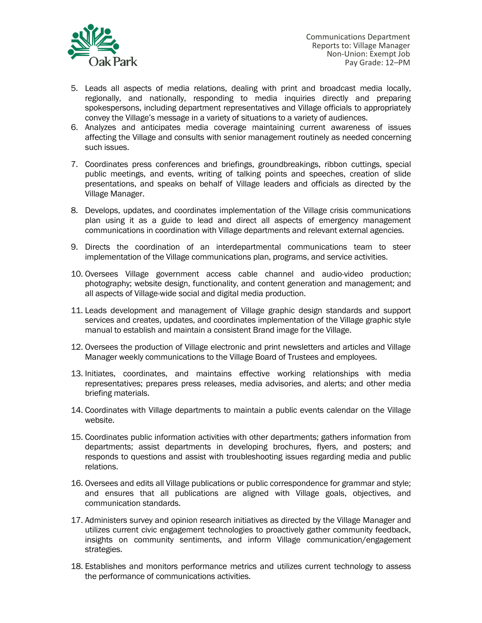

- 5. Leads all aspects of media relations, dealing with print and broadcast media locally, regionally, and nationally, responding to media inquiries directly and preparing spokespersons, including department representatives and Village officials to appropriately convey the Village's message in a variety of situations to a variety of audiences.
- 6. Analyzes and anticipates media coverage maintaining current awareness of issues affecting the Village and consults with senior management routinely as needed concerning such issues.
- 7. Coordinates press conferences and briefings, groundbreakings, ribbon cuttings, special public meetings, and events, writing of talking points and speeches, creation of slide presentations, and speaks on behalf of Village leaders and officials as directed by the Village Manager.
- 8. Develops, updates, and coordinates implementation of the Village crisis communications plan using it as a guide to lead and direct all aspects of emergency management communications in coordination with Village departments and relevant external agencies.
- 9. Directs the coordination of an interdepartmental communications team to steer implementation of the Village communications plan, programs, and service activities.
- 10. Oversees Village government access cable channel and audio-video production; photography; website design, functionality, and content generation and management; and all aspects of Village-wide social and digital media production.
- 11. Leads development and management of Village graphic design standards and support services and creates, updates, and coordinates implementation of the Village graphic style manual to establish and maintain a consistent Brand image for the Village.
- 12. Oversees the production of Village electronic and print newsletters and articles and Village Manager weekly communications to the Village Board of Trustees and employees.
- 13. Initiates, coordinates, and maintains effective working relationships with media representatives; prepares press releases, media advisories, and alerts; and other media briefing materials.
- 14. Coordinates with Village departments to maintain a public events calendar on the Village website.
- 15. Coordinates public information activities with other departments; gathers information from departments; assist departments in developing brochures, flyers, and posters; and responds to questions and assist with troubleshooting issues regarding media and public relations.
- 16. Oversees and edits all Village publications or public correspondence for grammar and style; and ensures that all publications are aligned with Village goals, objectives, and communication standards.
- 17. Administers survey and opinion research initiatives as directed by the Village Manager and utilizes current civic engagement technologies to proactively gather community feedback, insights on community sentiments, and inform Village communication/engagement strategies.
- 18. Establishes and monitors performance metrics and utilizes current technology to assess the performance of communications activities.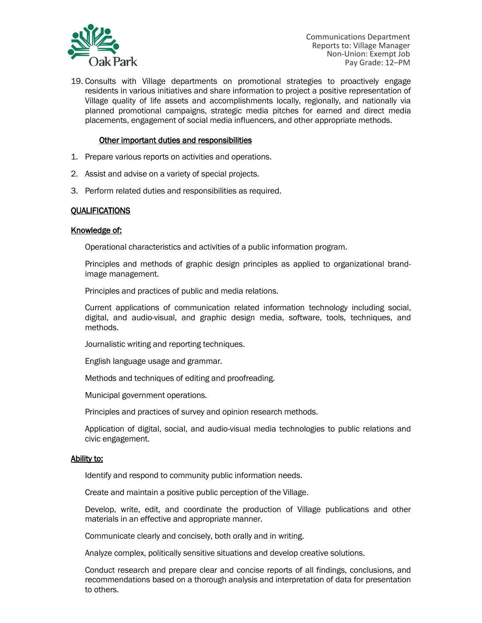

19. Consults with Village departments on promotional strategies to proactively engage residents in various initiatives and share information to project a positive representation of Village quality of life assets and accomplishments locally, regionally, and nationally via planned promotional campaigns, strategic media pitches for earned and direct media placements, engagement of social media influencers, and other appropriate methods.

## Other important duties and responsibilities

- 1. Prepare various reports on activities and operations.
- 2. Assist and advise on a variety of special projects.
- 3. Perform related duties and responsibilities as required.

## **QUALIFICATIONS**

#### Knowledge of:

Operational characteristics and activities of a public information program.

Principles and methods of graphic design principles as applied to organizational brandimage management.

Principles and practices of public and media relations.

Current applications of communication related information technology including social, digital, and audio-visual, and graphic design media, software, tools, techniques, and methods.

Journalistic writing and reporting techniques.

English language usage and grammar.

Methods and techniques of editing and proofreading.

Municipal government operations.

Principles and practices of survey and opinion research methods.

Application of digital, social, and audio-visual media technologies to public relations and civic engagement.

#### Ability to:

Identify and respond to community public information needs.

Create and maintain a positive public perception of the Village.

Develop, write, edit, and coordinate the production of Village publications and other materials in an effective and appropriate manner.

Communicate clearly and concisely, both orally and in writing.

Analyze complex, politically sensitive situations and develop creative solutions.

Conduct research and prepare clear and concise reports of all findings, conclusions, and recommendations based on a thorough analysis and interpretation of data for presentation to others.